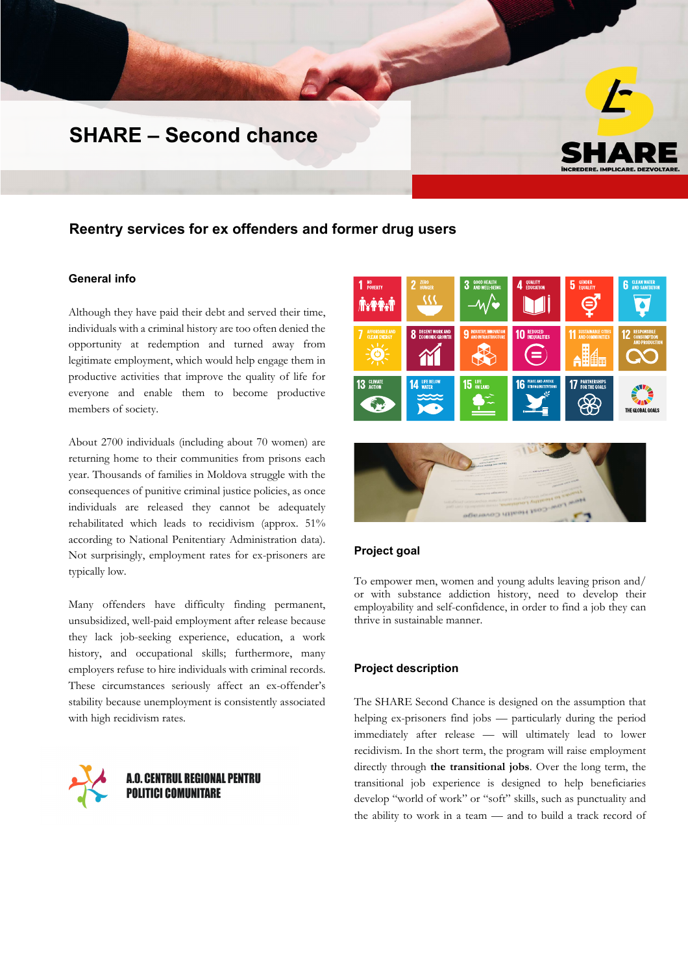# **SHARE – Second chance**

# **Reentry services for ex offenders and former drug users**

## **General info**

Although they have paid their debt and served their time, individuals with a criminal history are too often denied the opportunity at redemption and turned away from legitimate employment, which would help engage them in productive activities that improve the quality of life for everyone and enable them to become productive members of society.

About 2700 individuals (including about 70 women) are returning home to their communities from prisons each year. Thousands of families in Moldova struggle with the consequences of punitive criminal justice policies, as once individuals are released they cannot be adequately rehabilitated which leads to recidivism (approx. 51% according to National Penitentiary Administration data). Not surprisingly, employment rates for ex-prisoners are typically low.

Many offenders have difficulty finding permanent, unsubsidized, well-paid employment after release because they lack job-seeking experience, education, a work history, and occupational skills; furthermore, many employers refuse to hire individuals with criminal records. These circumstances seriously affect an ex-offender's stability because unemployment is consistently associated with high recidivism rates.



**A.O. CENTRUL REGIONAL PENTRU POLITICI COMUNITARE** 



#### **Project goal**

To empower men, women and young adults leaving prison and/ or with substance addiction history, need to develop their employability and self-confidence, in order to find a job they can thrive in sustainable manner.

### **Project description**

The SHARE Second Chance is designed on the assumption that helping ex-prisoners find jobs — particularly during the period immediately after release — will ultimately lead to lower recidivism. In the short term, the program will raise employment directly through **the transitional jobs**. Over the long term, the transitional job experience is designed to help beneficiaries develop "world of work" or "soft" skills, such as punctuality and the ability to work in a team — and to build a track record of